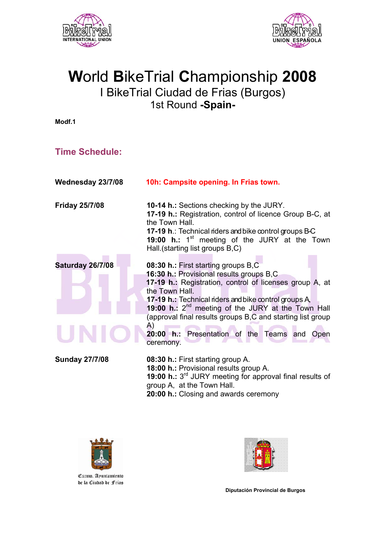



## **W**orld **B**ikeTrial **C**hampionship **2008** I BikeTrial Ciudad de Frias (Burgos) 1st Round **-Spain-**

**Modf.1** 

#### **Time Schedule:**

| Wednesday 23/7/08     | 10h: Campsite opening. In Frias town.                                                                                                                                                                                                                                                                                                                                                                                       |
|-----------------------|-----------------------------------------------------------------------------------------------------------------------------------------------------------------------------------------------------------------------------------------------------------------------------------------------------------------------------------------------------------------------------------------------------------------------------|
| <b>Friday 25/7/08</b> | <b>10-14 h.: Sections checking by the JURY.</b><br>17-19 h.: Registration, control of licence Group B-C, at<br>the Town Hall.<br><b>17-19 h.: Technical riders and bike control groups B-C</b><br>19:00 h.: $1st$ meeting of the JURY at the Town<br>Hall.(starting list groups B,C)                                                                                                                                        |
| Saturday 26/7/08      | 08:30 h.: First starting groups B,C<br>16:30 h.: Provisional results groups B,C<br>17-19 h.: Registration, control of licenses group A, at<br>the Town Hall.<br>17-19 h.: Technical riders and bike control groups A,<br>19:00 h.: 2 <sup>nd</sup> meeting of the JURY at the Town Hall<br>(approval final results groups B,C and starting list group<br>A)<br>20:00 h.: Presentation of the Teams and<br>Open<br>ceremony. |
| <b>Sunday 27/7/08</b> | 08:30 h.: First starting group A.<br>18:00 h.: Provisional results group A.<br>19:00 h.: 3 <sup>rd</sup> JURY meeting for approval final results of<br>group A, at the Town Hall.<br>20:00 h.: Closing and awards ceremony                                                                                                                                                                                                  |





**Diputación Provincial de Burgos**